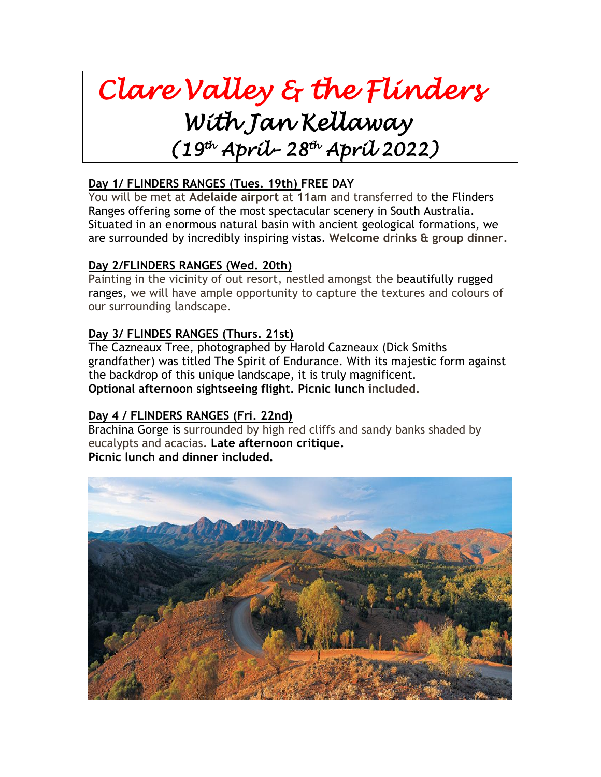# *Clare Valley & the Flinders With Jan Kellaway (19 th April– 28 th April 2022)*

# **Day 1/ FLINDERS RANGES (Tues. 19th) FREE DAY**

You will be met at **Adelaide airport** at **11am** and transferred to the Flinders Ranges offering some of the most spectacular scenery in South Australia. Situated in an enormous natural basin with ancient geological formations, we are surrounded by incredibly inspiring vistas. **Welcome drinks & group dinner.**

#### **Day 2/FLINDERS RANGES (Wed. 20th)**

Painting in the vicinity of out resort, nestled amongst the beautifully rugged ranges, we will have ample opportunity to capture the textures and colours of our surrounding landscape.

#### **Day 3/ FLINDES RANGES (Thurs. 21st)**

The Cazneaux Tree, photographed by Harold Cazneaux (Dick Smiths grandfather) was titled The Spirit of Endurance. With its majestic form against the backdrop of this unique landscape, it is truly magnificent. **Optional afternoon sightseeing flight. Picnic lunch included.**

#### **Day 4 / FLINDERS RANGES (Fri. 22nd)**

Brachina Gorge is surrounded by high red cliffs and sandy banks shaded by eucalypts and acacias. **Late afternoon critique. Picnic lunch and dinner included.**

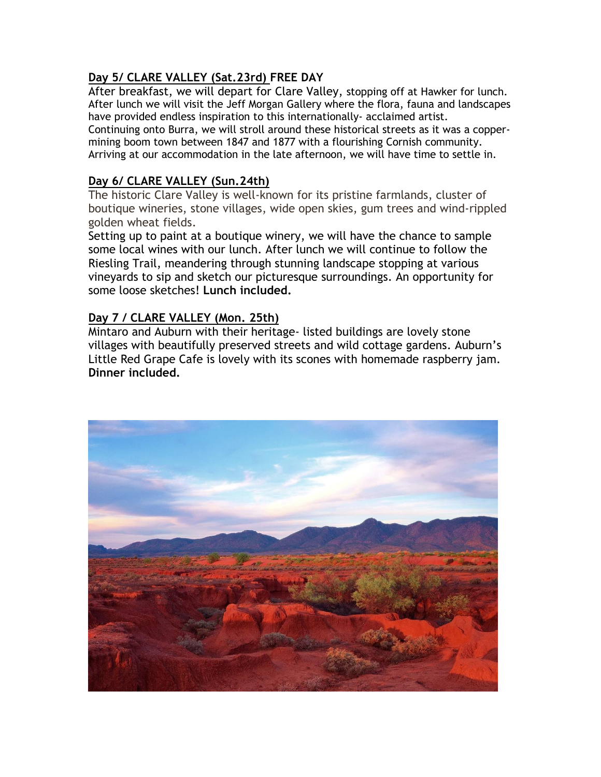### **Day 5/ CLARE VALLEY (Sat.23rd) FREE DAY**

After breakfast, we will depart for Clare Valley, stopping off at Hawker for lunch. After lunch we will visit the Jeff Morgan Gallery where the flora, fauna and landscapes have provided endless inspiration to this internationally- acclaimed artist.

Continuing onto Burra, we will stroll around these historical streets as it was a coppermining boom town between 1847 and 1877 with a flourishing Cornish community. Arriving at our accommodation in the late afternoon, we will have time to settle in.

#### **Day 6/ CLARE VALLEY (Sun.24th)**

The historic Clare Valley is well-known for its pristine farmlands, cluster of boutique wineries, stone villages, wide open skies, gum trees and wind-rippled golden wheat fields.

Setting up to paint at a boutique winery, we will have the chance to sample some local wines with our lunch. After lunch we will continue to follow the Riesling Trail, meandering through stunning landscape stopping at various vineyards to sip and sketch our picturesque surroundings. An opportunity for some loose sketches! **Lunch included.** 

#### **Day 7 / CLARE VALLEY (Mon. 25th)**

Mintaro and Auburn with their heritage- listed buildings are lovely stone villages with beautifully preserved streets and wild cottage gardens. Auburn's Little Red Grape Cafe is lovely with its scones with homemade raspberry jam. **Dinner included.**